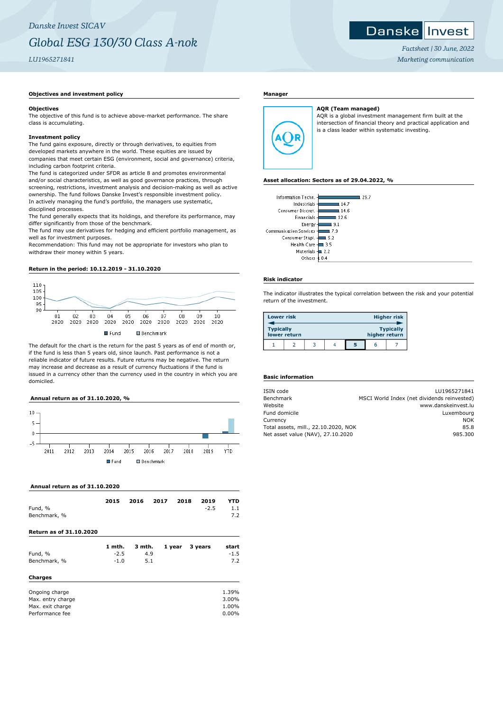## **Objectives and investment policy**

#### **Objectives**

The objective of this fund is to achieve above-market performance. The share class is accumulating.

#### **Investment policy**

The fund gains exposure, directly or through derivatives, to equities from developed markets anywhere in the world. These equities are issued by companies that meet certain ESG (environment, social and governance) criteria, including carbon footprint criteria.

The fund is categorized under SFDR as article 8 and promotes environmental and/or social characteristics, as well as good governance practices, through screening, restrictions, investment analysis and decision-making as well as active ownership. The fund follows Danske Invest's responsible investment policy. In actively managing the fund's portfolio, the managers use systematic, disciplined processes.

The fund generally expects that its holdings, and therefore its performance, may differ significantly from those of the benchmark.

The fund may use derivatives for hedging and efficient portfolio management, as well as for investment purposes.

Recommendation: This fund may not be appropriate for investors who plan to withdraw their money within 5 years.

#### **Return in the period: 10.12.2019 - 31.10.2020**



The default for the chart is the return for the past 5 years as of end of month or, if the fund is less than 5 years old, since launch. Past performance is not a reliable indicator of future results. Future returns may be negative. The return may increase and decrease as a result of currency fluctuations if the fund is issued in a currency other than the currency used in the country in which you are domiciled.

#### **Annual return as of 31.10.2020, %**



#### **Annual return as of 31.10.2020**

| Fund, %<br>Benchmark, %                                                    | 2015                       | 2016                 | 2017 | 2018   | 2019<br>$-2.5$ | YTD<br>1.1<br>7.2                |
|----------------------------------------------------------------------------|----------------------------|----------------------|------|--------|----------------|----------------------------------|
| <b>Return as of 31.10.2020</b>                                             |                            |                      |      |        |                |                                  |
| Fund, %<br>Benchmark, %                                                    | 1 mth.<br>$-2.5$<br>$-1.0$ | 3 mth.<br>4.9<br>5.1 |      | 1 year | 3 years        | start<br>$-1.5$<br>7.2           |
| <b>Charges</b>                                                             |                            |                      |      |        |                |                                  |
| Ongoing charge<br>Max. entry charge<br>Max. exit charge<br>Performance fee |                            |                      |      |        |                | 1.39%<br>3.00%<br>1.00%<br>0.00% |

#### **Manager**



**AQR (Team managed)** AQR is a global investment management firm built at the intersection of financial theory and practical application and is a class leader within systematic investing.

#### **Asset allocation: Sectors as of 29.04.2022, %**

| Information Techn.              | 29.7 |
|---------------------------------|------|
| Industrials -<br>14.7           |      |
| Consumer Discret. -<br>14.6     |      |
| Financials<br>12.6              |      |
| Energy-<br>9.1                  |      |
| Communication Services -<br>7.9 |      |
| Consumer Stapl.<br>5.2          |      |
| Health Care -<br>3.5            |      |
| Materials -<br>22               |      |
| Others<br>0.4                   |      |
|                                 |      |

#### **Risk indicator**

The indicator illustrates the typical correlation between the risk and your potential return of the investment.

| <b>Lower risk</b> |              |  |   |               | <b>Higher risk</b> |
|-------------------|--------------|--|---|---------------|--------------------|
| <b>Typically</b>  | lower return |  |   | higher return | <b>Typically</b>   |
|                   |              |  | 5 | h             |                    |

### **Basic information**

| ISIN code                            | LU1965271841                                |
|--------------------------------------|---------------------------------------------|
| Benchmark                            | MSCI World Index (net dividends reinvested) |
| Website                              | www.danskeinvest.lu                         |
| Fund domicile                        | Luxembourg                                  |
| Currency                             | <b>NOK</b>                                  |
| Total assets, mill., 22.10.2020, NOK | 85.8                                        |
| Net asset value (NAV), 27.10.2020    | 985.300                                     |
|                                      |                                             |

*Factsheet | 30 June, 2022 Marketing communication*